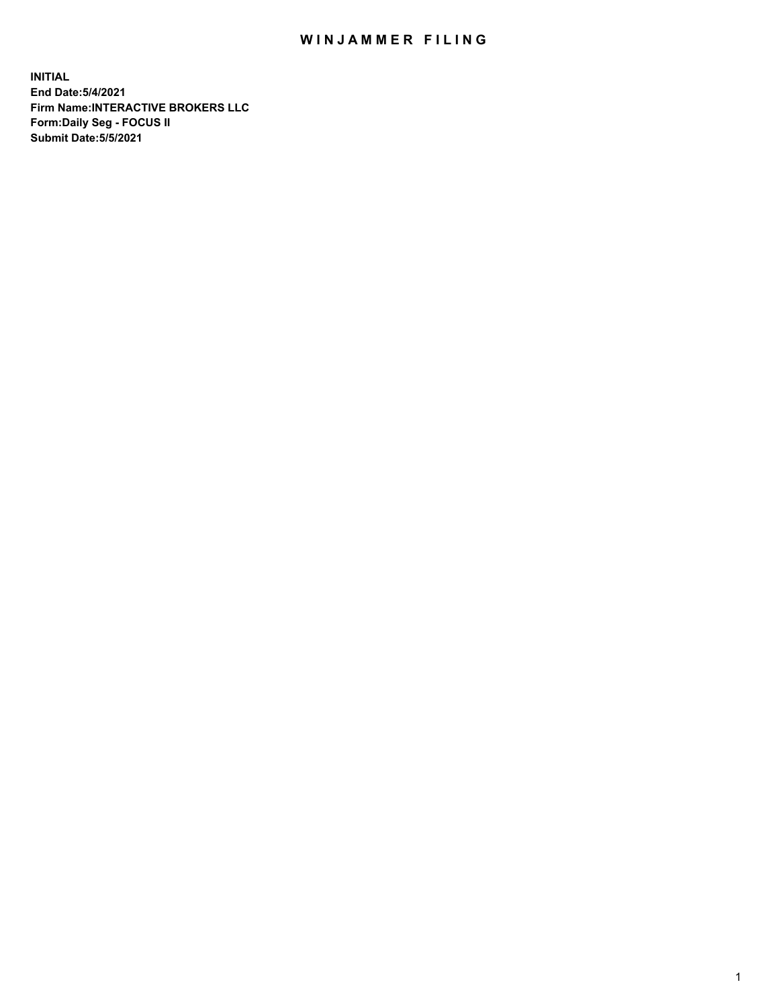## WIN JAMMER FILING

**INITIAL End Date:5/4/2021 Firm Name:INTERACTIVE BROKERS LLC Form:Daily Seg - FOCUS II Submit Date:5/5/2021**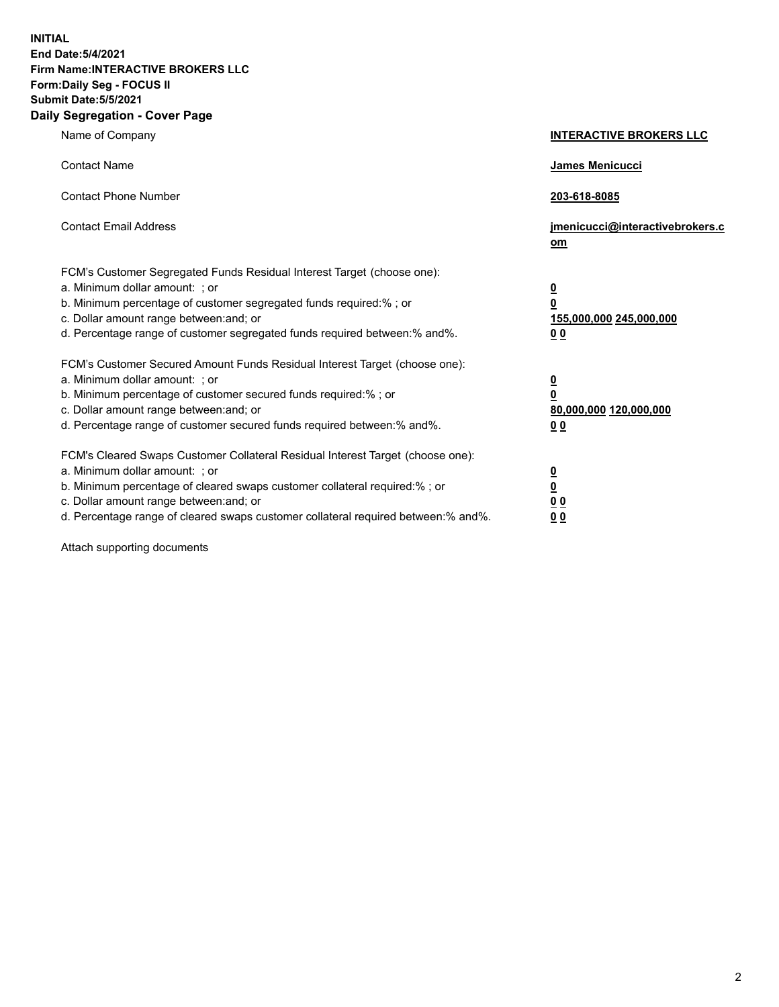**INITIAL End Date:5/4/2021 Firm Name:INTERACTIVE BROKERS LLC Form:Daily Seg - FOCUS II Submit Date:5/5/2021 Daily Segregation - Cover Page**

| Name of Company                                                                                                                                                                                                                                                                                                                | <b>INTERACTIVE BROKERS LLC</b>                             |
|--------------------------------------------------------------------------------------------------------------------------------------------------------------------------------------------------------------------------------------------------------------------------------------------------------------------------------|------------------------------------------------------------|
| <b>Contact Name</b>                                                                                                                                                                                                                                                                                                            | James Menicucci                                            |
| <b>Contact Phone Number</b>                                                                                                                                                                                                                                                                                                    | 203-618-8085                                               |
| <b>Contact Email Address</b>                                                                                                                                                                                                                                                                                                   | jmenicucci@interactivebrokers.c<br>om                      |
| FCM's Customer Segregated Funds Residual Interest Target (choose one):<br>a. Minimum dollar amount: ; or<br>b. Minimum percentage of customer segregated funds required:% ; or<br>c. Dollar amount range between: and; or<br>d. Percentage range of customer segregated funds required between:% and%.                         | $\frac{0}{0}$<br>155,000,000 245,000,000<br>0 <sub>0</sub> |
| FCM's Customer Secured Amount Funds Residual Interest Target (choose one):<br>a. Minimum dollar amount: ; or<br>b. Minimum percentage of customer secured funds required:%; or<br>c. Dollar amount range between: and; or<br>d. Percentage range of customer secured funds required between:% and%.                            | $\frac{0}{0}$<br>80,000,000 120,000,000<br>00              |
| FCM's Cleared Swaps Customer Collateral Residual Interest Target (choose one):<br>a. Minimum dollar amount: ; or<br>b. Minimum percentage of cleared swaps customer collateral required:% ; or<br>c. Dollar amount range between: and; or<br>d. Percentage range of cleared swaps customer collateral required between:% and%. | $\frac{0}{0}$<br>0 <sub>0</sub><br>0 <sub>0</sub>          |

Attach supporting documents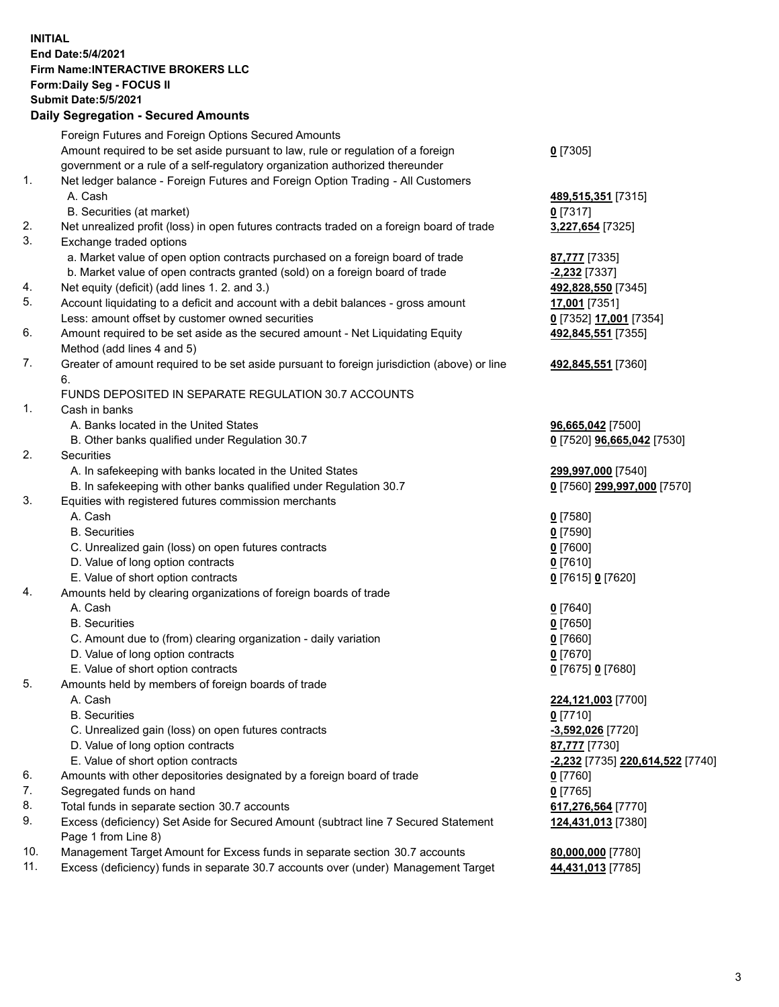## **INITIAL End Date:5/4/2021 Firm Name:INTERACTIVE BROKERS LLC Form:Daily Seg - FOCUS II Submit Date:5/5/2021 Daily Segregation - Secured Amounts**

|                | <b>Dany Ocgregation - Occarea Anioanic</b>                                                                 |                                               |
|----------------|------------------------------------------------------------------------------------------------------------|-----------------------------------------------|
|                | Foreign Futures and Foreign Options Secured Amounts                                                        |                                               |
|                | Amount required to be set aside pursuant to law, rule or regulation of a foreign                           | $0$ [7305]                                    |
|                | government or a rule of a self-regulatory organization authorized thereunder                               |                                               |
| $\mathbf{1}$ . | Net ledger balance - Foreign Futures and Foreign Option Trading - All Customers                            |                                               |
|                | A. Cash                                                                                                    | 489,515,351 [7315]                            |
|                | B. Securities (at market)                                                                                  | $0$ [7317]                                    |
| 2.             | Net unrealized profit (loss) in open futures contracts traded on a foreign board of trade                  | 3,227,654 [7325]                              |
| 3.             | Exchange traded options                                                                                    |                                               |
|                | a. Market value of open option contracts purchased on a foreign board of trade                             | 87,777 [7335]                                 |
|                | b. Market value of open contracts granted (sold) on a foreign board of trade                               | -2,232 [7337]                                 |
| 4.             | Net equity (deficit) (add lines 1. 2. and 3.)                                                              | 492,828,550 [7345]                            |
| 5.             | Account liquidating to a deficit and account with a debit balances - gross amount                          | 17,001 [7351]                                 |
|                | Less: amount offset by customer owned securities                                                           | 0 [7352] 17,001 [7354]                        |
| 6.             | Amount required to be set aside as the secured amount - Net Liquidating Equity                             | 492,845,551 [7355]                            |
|                | Method (add lines 4 and 5)                                                                                 |                                               |
| 7.             | Greater of amount required to be set aside pursuant to foreign jurisdiction (above) or line                | 492,845,551 [7360]                            |
|                | 6.                                                                                                         |                                               |
|                | FUNDS DEPOSITED IN SEPARATE REGULATION 30.7 ACCOUNTS                                                       |                                               |
| $\mathbf{1}$ . | Cash in banks                                                                                              |                                               |
|                | A. Banks located in the United States                                                                      | 96,665,042 [7500]                             |
|                | B. Other banks qualified under Regulation 30.7                                                             | 0 [7520] 96,665,042 [7530]                    |
| 2.             | Securities                                                                                                 |                                               |
|                | A. In safekeeping with banks located in the United States                                                  | 299,997,000 [7540]                            |
|                | B. In safekeeping with other banks qualified under Regulation 30.7                                         | 0 [7560] 299,997,000 [7570]                   |
| 3.             | Equities with registered futures commission merchants                                                      |                                               |
|                | A. Cash                                                                                                    | $0$ [7580]                                    |
|                | <b>B.</b> Securities                                                                                       | $0$ [7590]                                    |
|                | C. Unrealized gain (loss) on open futures contracts                                                        | $0$ [7600]                                    |
|                | D. Value of long option contracts                                                                          | $0$ [7610]                                    |
|                | E. Value of short option contracts                                                                         | 0 [7615] 0 [7620]                             |
| 4.             | Amounts held by clearing organizations of foreign boards of trade                                          |                                               |
|                | A. Cash                                                                                                    | $Q$ [7640]                                    |
|                | <b>B.</b> Securities                                                                                       | $0$ [7650]                                    |
|                | C. Amount due to (from) clearing organization - daily variation                                            | $0$ [7660]                                    |
|                | D. Value of long option contracts                                                                          | $0$ [7670]                                    |
|                | E. Value of short option contracts                                                                         | 0 [7675] 0 [7680]                             |
| 5.             | Amounts held by members of foreign boards of trade                                                         |                                               |
|                | A. Cash                                                                                                    | 224,121,003 [7700]                            |
|                | <b>B.</b> Securities                                                                                       | $0$ [7710]                                    |
|                | C. Unrealized gain (loss) on open futures contracts                                                        | -3,592,026 [7720]                             |
|                | D. Value of long option contracts                                                                          | 87,777 [7730]                                 |
|                | E. Value of short option contracts                                                                         | <mark>-2,232</mark> [7735] 220,614,522 [7740] |
| 6.             | Amounts with other depositories designated by a foreign board of trade                                     | 0 [7760]                                      |
| 7.             | Segregated funds on hand                                                                                   | $0$ [7765]                                    |
| 8.             | Total funds in separate section 30.7 accounts                                                              | 617,276,564 [7770]                            |
| 9.             | Excess (deficiency) Set Aside for Secured Amount (subtract line 7 Secured Statement<br>Page 1 from Line 8) | 124,431,013 [7380]                            |
| 10.            | Management Target Amount for Excess funds in separate section 30.7 accounts                                | 80,000,000 [7780]                             |
| 11.            | Excess (deficiency) funds in separate 30.7 accounts over (under) Management Target                         | 44,431,013 [7785]                             |
|                |                                                                                                            |                                               |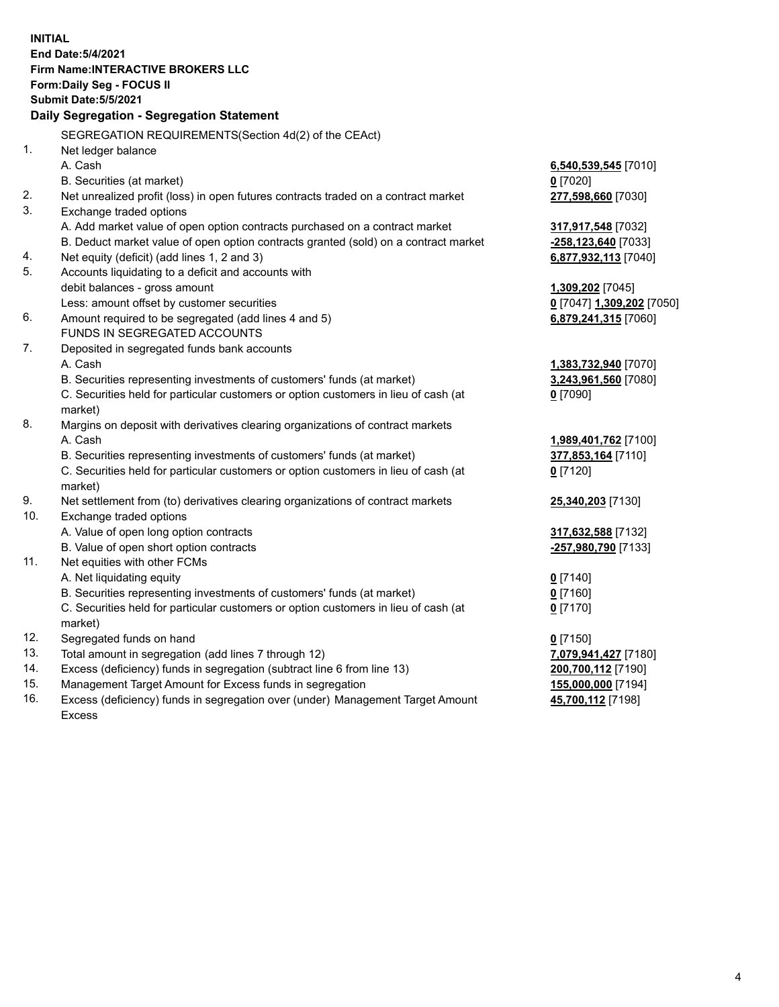**INITIAL End Date:5/4/2021 Firm Name:INTERACTIVE BROKERS LLC Form:Daily Seg - FOCUS II Submit Date:5/5/2021 Daily Segregation - Segregation Statement** SEGREGATION REQUIREMENTS(Section 4d(2) of the CEAct) 1. Net ledger balance A. Cash **6,540,539,545** [7010] B. Securities (at market) **0** [7020] 2. Net unrealized profit (loss) in open futures contracts traded on a contract market **277,598,660** [7030] 3. Exchange traded options A. Add market value of open option contracts purchased on a contract market **317,917,548** [7032] B. Deduct market value of open option contracts granted (sold) on a contract market **-258,123,640** [7033] 4. Net equity (deficit) (add lines 1, 2 and 3) **6,877,932,113** [7040] 5. Accounts liquidating to a deficit and accounts with debit balances - gross amount **1,309,202** [7045] Less: amount offset by customer securities **0** [7047] **1,309,202** [7050] 6. Amount required to be segregated (add lines 4 and 5) **6,879,241,315** [7060] FUNDS IN SEGREGATED ACCOUNTS 7. Deposited in segregated funds bank accounts A. Cash **1,383,732,940** [7070] B. Securities representing investments of customers' funds (at market) **3,243,961,560** [7080] C. Securities held for particular customers or option customers in lieu of cash (at market) **0** [7090] 8. Margins on deposit with derivatives clearing organizations of contract markets A. Cash **1,989,401,762** [7100] B. Securities representing investments of customers' funds (at market) **377,853,164** [7110] C. Securities held for particular customers or option customers in lieu of cash (at market) **0** [7120] 9. Net settlement from (to) derivatives clearing organizations of contract markets **25,340,203** [7130] 10. Exchange traded options A. Value of open long option contracts **317,632,588** [7132] B. Value of open short option contracts **-257,980,790** [7133] 11. Net equities with other FCMs A. Net liquidating equity **0** [7140] B. Securities representing investments of customers' funds (at market) **0** [7160] C. Securities held for particular customers or option customers in lieu of cash (at market) **0** [7170] 12. Segregated funds on hand **0** [7150] 13. Total amount in segregation (add lines 7 through 12) **7,079,941,427** [7180] 14. Excess (deficiency) funds in segregation (subtract line 6 from line 13) **200,700,112** [7190] 15. Management Target Amount for Excess funds in segregation **155,000,000** [7194] 16. Excess (deficiency) funds in segregation over (under) Management Target Amount Excess **45,700,112** [7198]